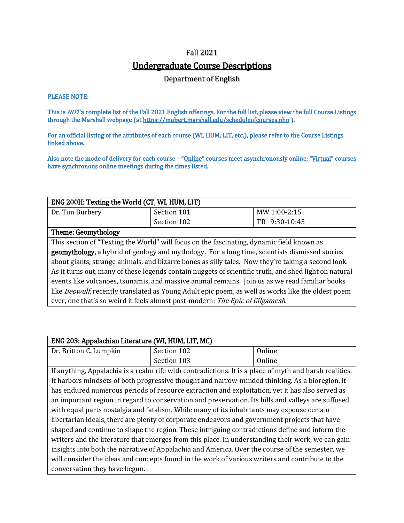#### Fall 2021

## Undergraduate Course Descriptions

Department of English

### PLEASE NOTE:

This is <u>NOT</u> a complete list of the Fall 2021 English offerings. For the full list, please view the full Course Listings through the Marshall webpage (at https://mubert.marshall.edu/scheduleofcourses.php).

For an official listing of the attributes of each course (WI, HUM, LIT, etc.), please refer to the Course Listings linked above.

Also note the mode of delivery for each course – "Online" courses meet asynchronously online; "Virtual" courses have synchronous online meetings during the times listed.

| ENG 200H: Texting the World (CT, WI, HUM, LIT)                                                            |                                                                                           |               |
|-----------------------------------------------------------------------------------------------------------|-------------------------------------------------------------------------------------------|---------------|
| Dr. Tim Burbery                                                                                           | Section 101                                                                               | MW 1:00-2:15  |
|                                                                                                           | Section 102                                                                               | TR 9:30-10:45 |
| <b>Theme: Geomythology</b>                                                                                |                                                                                           |               |
|                                                                                                           | This section of "Texting the World" will focus on the fascinating, dynamic field known as |               |
| geomythology, a hybrid of geology and mythology. For a long time, scientists dismissed stories            |                                                                                           |               |
| about giants, strange animals, and bizarre bones as silly tales. Now they're taking a second look.        |                                                                                           |               |
| As it turns out, many of these legends contain nuggets of scientific truth, and shed light on natural     |                                                                                           |               |
| events like volcanoes, tsunamis, and massive animal remains. Join us as we read familiar books            |                                                                                           |               |
| like <i>Beowulf</i> , recently translated as Young Adult epic poem, as well as works like the oldest poem |                                                                                           |               |
| ever, one that's so weird it feels almost post-modern: The Epic of Gilgamesh.                             |                                                                                           |               |

| ENG 203: Appalachian Literature (WI, HUM, LIT, MC)                                                 |                                                                                                         |        |
|----------------------------------------------------------------------------------------------------|---------------------------------------------------------------------------------------------------------|--------|
| Dr. Britton C. Lumpkin                                                                             | Section 102                                                                                             | Online |
|                                                                                                    | Section 103                                                                                             | Online |
|                                                                                                    | If anything, Appalachia is a realm rife with contradictions. It is a place of myth and harsh realities. |        |
|                                                                                                    | It harbors mindsets of both progressive thought and narrow-minded thinking. As a bioregion, it          |        |
|                                                                                                    | has endured numerous periods of resource extraction and exploitation, yet it has also served as         |        |
| an important region in regard to conservation and preservation. Its hills and valleys are suffused |                                                                                                         |        |
| with equal parts nostalgia and fatalism. While many of its inhabitants may espouse certain         |                                                                                                         |        |
| libertarian ideals, there are plenty of corporate endeavors and government projects that have      |                                                                                                         |        |
| shaped and continue to shape the region. These intriguing contradictions define and inform the     |                                                                                                         |        |
| writers and the literature that emerges from this place. In understanding their work, we can gain  |                                                                                                         |        |
| insights into both the narrative of Appalachia and America. Over the course of the semester, we    |                                                                                                         |        |
| will consider the ideas and concepts found in the work of various writers and contribute to the    |                                                                                                         |        |
| conversation they have begun.                                                                      |                                                                                                         |        |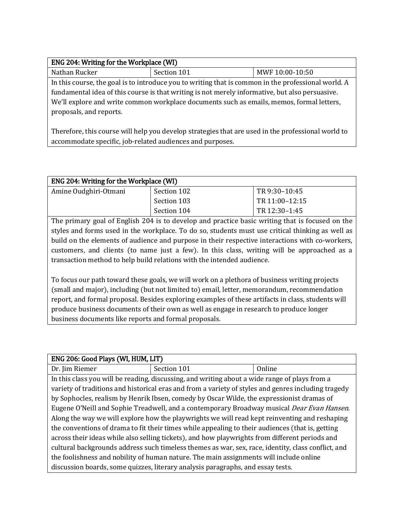| ENG 204: Writing for the Workplace (WI)                                                           |                                                                                                     |                 |
|---------------------------------------------------------------------------------------------------|-----------------------------------------------------------------------------------------------------|-----------------|
| Nathan Rucker                                                                                     | Section 101                                                                                         | MWF 10:00-10:50 |
|                                                                                                   | In this course, the goal is to introduce you to writing that is common in the professional world. A |                 |
| fundamental idea of this course is that writing is not merely informative, but also persuasive.   |                                                                                                     |                 |
| We'll explore and write common workplace documents such as emails, memos, formal letters,         |                                                                                                     |                 |
| proposals, and reports.                                                                           |                                                                                                     |                 |
|                                                                                                   |                                                                                                     |                 |
| Therefore this course will help you develop strategies that are used in the professional world to |                                                                                                     |                 |

Therefore, this course will help you develop strategies that are used in the professional world to accommodate specific, job-related audiences and purposes.

| <b>ENG 204: Writing for the Workplace (WI)</b> |             |                |
|------------------------------------------------|-------------|----------------|
| Amine Oudghiri-Otmani                          | Section 102 | TR 9:30-10:45  |
|                                                | Section 103 | TR 11:00-12:15 |
|                                                | Section 104 | TR 12:30-1:45  |

The primary goal of English 204 is to develop and practice basic writing that is focused on the styles and forms used in the workplace. To do so, students must use critical thinking as well as build on the elements of audience and purpose in their respective interactions with co-workers, customers, and clients (to name just a few). In this class, writing will be approached as a transaction method to help build relations with the intended audience.

To focus our path toward these goals, we will work on a plethora of business writing projects (small and major), including (but not limited to) email, letter, memorandum, recommendation report, and formal proposal. Besides exploring examples of these artifacts in class, students will produce business documents of their own as well as engage in research to produce longer business documents like reports and formal proposals.

| ENG 206: Good Plays (WI, HUM, LIT)                                                                 |                                                                                                     |        |
|----------------------------------------------------------------------------------------------------|-----------------------------------------------------------------------------------------------------|--------|
| Dr. Jim Riemer                                                                                     | Section 101                                                                                         | Online |
|                                                                                                    | In this class you will be reading, discussing, and writing about a wide range of plays from a       |        |
|                                                                                                    | variety of traditions and historical eras and from a variety of styles and genres including tragedy |        |
|                                                                                                    | by Sophocles, realism by Henrik Ibsen, comedy by Oscar Wilde, the expressionist dramas of           |        |
| Eugene O'Neill and Sophie Treadwell, and a contemporary Broadway musical <i>Dear Evan Hansen</i> . |                                                                                                     |        |
| Along the way we will explore how the playwrights we will read kept reinventing and reshaping      |                                                                                                     |        |
| the conventions of drama to fit their times while appealing to their audiences (that is, getting   |                                                                                                     |        |
| across their ideas while also selling tickets), and how playwrights from different periods and     |                                                                                                     |        |
| cultural backgrounds address such timeless themes as war, sex, race, identity, class conflict, and |                                                                                                     |        |
| the foolishness and nobility of human nature. The main assignments will include online             |                                                                                                     |        |
| discussion boards, some quizzes, literary analysis paragraphs, and essay tests.                    |                                                                                                     |        |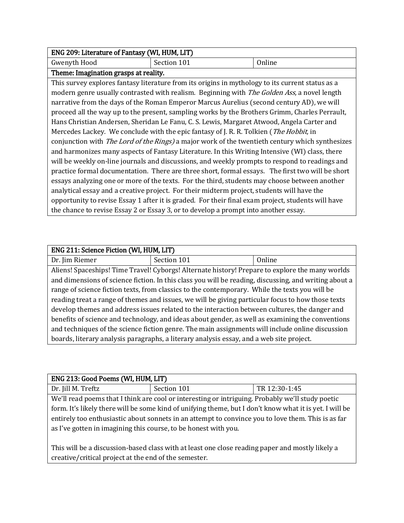| ENG 209: Literature of Fantasy (WI, HUM, LIT) |  |  |  |
|-----------------------------------------------|--|--|--|
| Gwenyth Hood<br>Section 101<br>Online         |  |  |  |
| Theme: Imagination grasps at reality.         |  |  |  |

This survey explores fantasy literature from its origins in mythology to its current status as a modern genre usually contrasted with realism. Beginning with The Golden Ass, a novel length narrative from the days of the Roman Emperor Marcus Aurelius (second century AD), we will proceed all the way up to the present, sampling works by the Brothers Grimm, Charles Perrault, Hans Christian Andersen, Sheridan Le Fanu, C. S. Lewis, Margaret Atwood, Angela Carter and Mercedes Lackey. We conclude with the epic fantasy of J. R. R. Tolkien (*The Hobbit*, in conjunction with The Lord of the Rings) a major work of the twentieth century which synthesizes and harmonizes many aspects of Fantasy Literature. In this Writing Intensive (WI) class, there will be weekly on-line journals and discussions, and weekly prompts to respond to readings and practice formal documentation. There are three short, formal essays. The first two will be short essays analyzing one or more of the texts. For the third, students may choose between another analytical essay and a creative project. For their midterm project, students will have the opportunity to revise Essay 1 after it is graded. For their final exam project, students will have the chance to revise Essay 2 or Essay 3, or to develop a prompt into another essay.

| Dr. Jim Riemer<br>Section 101<br>Online                                                               |  |  |
|-------------------------------------------------------------------------------------------------------|--|--|
|                                                                                                       |  |  |
| Aliens! Spaceships! Time Travel! Cyborgs! Alternate history! Prepare to explore the many worlds       |  |  |
| and dimensions of science fiction. In this class you will be reading, discussing, and writing about a |  |  |
| range of science fiction texts, from classics to the contemporary. While the texts you will be        |  |  |
| reading treat a range of themes and issues, we will be giving particular focus to how those texts     |  |  |
| develop themes and address issues related to the interaction between cultures, the danger and         |  |  |
| benefits of science and technology, and ideas about gender, as well as examining the conventions      |  |  |
| and techniques of the science fiction genre. The main assignments will include online discussion      |  |  |
| boards, literary analysis paragraphs, a literary analysis essay, and a web site project.              |  |  |

| ENG 213: Good Poems (WI, HUM, LIT)                                                                      |             |               |
|---------------------------------------------------------------------------------------------------------|-------------|---------------|
| Dr. Jill M. Treftz                                                                                      | Section 101 | TR 12:30-1:45 |
| We'll read poems that I think are cool or interesting or intriguing. Probably we'll study poetic        |             |               |
| form. It's likely there will be some kind of unifying theme, but I don't know what it is yet. I will be |             |               |
| entirely too enthusiastic about sonnets in an attempt to convince you to love them. This is as far      |             |               |
| as I've gotten in imagining this course, to be honest with you.                                         |             |               |

This will be a discussion-based class with at least one close reading paper and mostly likely a creative/critical project at the end of the semester.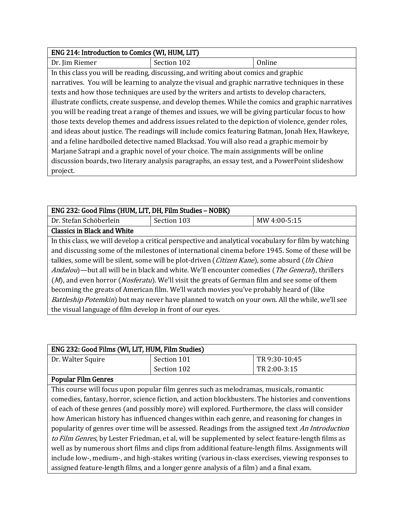| ENG 214: Introduction to Comics (WI, HUM, LIT)                                                    |                                                                                                    |        |
|---------------------------------------------------------------------------------------------------|----------------------------------------------------------------------------------------------------|--------|
| Dr. Jim Riemer                                                                                    | Section 102                                                                                        | Online |
|                                                                                                   | In this class you will be reading, discussing, and writing about comics and graphic                |        |
|                                                                                                   | narratives. You will be learning to analyze the visual and graphic narrative techniques in these   |        |
|                                                                                                   | texts and how those techniques are used by the writers and artists to develop characters,          |        |
|                                                                                                   | illustrate conflicts, create suspense, and develop themes. While the comics and graphic narratives |        |
| you will be reading treat a range of themes and issues, we will be giving particular focus to how |                                                                                                    |        |
| those texts develop themes and address issues related to the depiction of violence, gender roles, |                                                                                                    |        |
| and ideas about justice. The readings will include comics featuring Batman, Jonah Hex, Hawkeye,   |                                                                                                    |        |
| and a feline hardboiled detective named Blacksad. You will also read a graphic memoir by          |                                                                                                    |        |
| Marjane Satrapi and a graphic novel of your choice. The main assignments will be online           |                                                                                                    |        |
| discussion boards, two literary analysis paragraphs, an essay test, and a PowerPoint slideshow    |                                                                                                    |        |
| project.                                                                                          |                                                                                                    |        |

| ENG 232: Good Films (HUM, LIT, DH, Film Studies - NOBK)                                                         |                                                                                                      |              |
|-----------------------------------------------------------------------------------------------------------------|------------------------------------------------------------------------------------------------------|--------------|
| Dr. Stefan Schöberlein                                                                                          | Section 103                                                                                          | MW 4:00-5:15 |
| <b>Classics in Black and White</b>                                                                              |                                                                                                      |              |
|                                                                                                                 | In this class, we will develop a critical perspective and analytical vocabulary for film by watching |              |
| and discussing some of the milestones of international cinema before 1945. Some of these will be                |                                                                                                      |              |
| talkies, some will be silent, some will be plot-driven (Citizen Kane), some absurd (Un Chien                    |                                                                                                      |              |
| <i>Andalou</i> )—but all will be in black and white. We'll encounter comedies ( <i>The General</i> ), thrillers |                                                                                                      |              |
| (M), and even horror (Nosferatu). We'll visit the greats of German film and see some of them                    |                                                                                                      |              |
| becoming the greats of American film. We'll watch movies you've probably heard of (like                         |                                                                                                      |              |
| <i>Battleship Potemkin</i> ) but may never have planned to watch on your own. All the while, we'll see          |                                                                                                      |              |
| the visual language of film develop in front of our eyes.                                                       |                                                                                                      |              |

| ENG 232: Good Films (WI, LIT, HUM, Film Studies)                                                  |                                                                                                    |               |
|---------------------------------------------------------------------------------------------------|----------------------------------------------------------------------------------------------------|---------------|
| Dr. Walter Squire                                                                                 | Section 101                                                                                        | TR 9:30-10:45 |
|                                                                                                   | Section 102                                                                                        | TR 2:00-3:15  |
| <b>Popular Film Genres</b>                                                                        |                                                                                                    |               |
|                                                                                                   | This course will focus upon popular film genres such as melodramas, musicals, romantic             |               |
|                                                                                                   | comedies, fantasy, horror, science fiction, and action blockbusters. The histories and conventions |               |
| of each of these genres (and possibly more) will explored. Furthermore, the class will consider   |                                                                                                    |               |
| how American history has influenced changes within each genre, and reasoning for changes in       |                                                                                                    |               |
| popularity of genres over time will be assessed. Readings from the assigned text An Introduction  |                                                                                                    |               |
| to Film Genres, by Lester Friedman, et al, will be supplemented by select feature-length films as |                                                                                                    |               |
| well as by numerous short films and clips from additional feature-length films. Assignments will  |                                                                                                    |               |
| include low-, medium-, and high-stakes writing (various in-class exercises, viewing responses to  |                                                                                                    |               |
| assigned feature-length films, and a longer genre analysis of a film) and a final exam.           |                                                                                                    |               |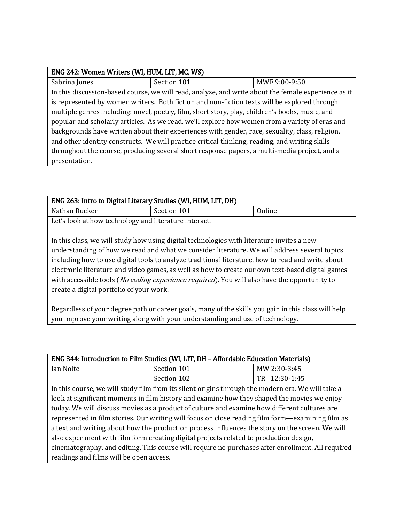| ENG 242: Women Writers (WI, HUM, LIT, MC, WS)                                                   |                                                                                                     |               |
|-------------------------------------------------------------------------------------------------|-----------------------------------------------------------------------------------------------------|---------------|
| Sabrina Jones                                                                                   | Section 101                                                                                         | MWF 9:00-9:50 |
|                                                                                                 | In this discussion-based course, we will read, analyze, and write about the female experience as it |               |
|                                                                                                 | is represented by women writers. Both fiction and non-fiction texts will be explored through        |               |
| multiple genres including: novel, poetry, film, short story, play, children's books, music, and |                                                                                                     |               |
| popular and scholarly articles. As we read, we'll explore how women from a variety of eras and  |                                                                                                     |               |
| backgrounds have written about their experiences with gender, race, sexuality, class, religion, |                                                                                                     |               |
| and other identity constructs. We will practice critical thinking, reading, and writing skills  |                                                                                                     |               |
| throughout the course, producing several short response papers, a multi-media project, and a    |                                                                                                     |               |
| presentation.                                                                                   |                                                                                                     |               |

| ENG 263: Intro to Digital Literary Studies (WI, HUM, LIT, DH) |             |        |  |
|---------------------------------------------------------------|-------------|--------|--|
| Nathan Rucker                                                 | Section 101 | Online |  |
| Let's look at how technology and literature interact.         |             |        |  |

In this class, we will study how using digital technologies with literature invites a new understanding of how we read and what we consider literature. We will address several topics including how to use digital tools to analyze traditional literature, how to read and write about electronic literature and video games, as well as how to create our own text-based digital games with accessible tools (No coding experience required). You will also have the opportunity to create a digital portfolio of your work.

Regardless of your degree path or career goals, many of the skills you gain in this class will help you improve your writing along with your understanding and use of technology.

| ENG 344: Introduction to Film Studies (WI, LIT, DH - Affordable Education Materials)              |                                                                                                   |               |
|---------------------------------------------------------------------------------------------------|---------------------------------------------------------------------------------------------------|---------------|
| Ian Nolte                                                                                         | Section 101                                                                                       | MW 2:30-3:45  |
|                                                                                                   | Section 102                                                                                       | TR 12:30-1:45 |
|                                                                                                   | In this course, we will study film from its silent origins through the modern era. We will take a |               |
| look at significant moments in film history and examine how they shaped the movies we enjoy       |                                                                                                   |               |
| today. We will discuss movies as a product of culture and examine how different cultures are      |                                                                                                   |               |
| represented in film stories. Our writing will focus on close reading film form—examining film as  |                                                                                                   |               |
| a text and writing about how the production process influences the story on the screen. We will   |                                                                                                   |               |
| also experiment with film form creating digital projects related to production design,            |                                                                                                   |               |
| cinematography, and editing. This course will require no purchases after enrollment. All required |                                                                                                   |               |
| readings and films will be open access.                                                           |                                                                                                   |               |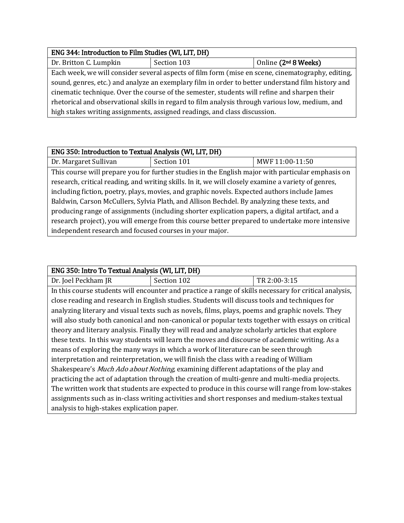| ENG 344: Introduction to Film Studies (WI, LIT, DH)                                               |             |                                  |
|---------------------------------------------------------------------------------------------------|-------------|----------------------------------|
| Dr. Britton C. Lumpkin                                                                            | Section 103 | Online (2 <sup>nd</sup> 8 Weeks) |
| Each week, we will consider several aspects of film form (mise en scene, cinematography, editing, |             |                                  |
| sound, genres, etc.) and analyze an exemplary film in order to better understand film history and |             |                                  |
| cinematic technique. Over the course of the semester, students will refine and sharpen their      |             |                                  |
| rhetorical and observational skills in regard to film analysis through various low, medium, and   |             |                                  |
| high stakes writing assignments, assigned readings, and class discussion.                         |             |                                  |

# ENG 350: Introduction to Textual Analysis (WI, LIT, DH) Dr. Margaret Sullivan | Section 101 | MWF 11:00-11:50 This course will prepare you for further studies in the English major with particular emphasis on research, critical reading, and writing skills. In it, we will closely examine a variety of genres, including fiction, poetry, plays, movies, and graphic novels. Expected authors include James Baldwin, Carson McCullers, Sylvia Plath, and Allison Bechdel. By analyzing these texts, and producing range of assignments (including shorter explication papers, a digital artifact, and a research project), you will emerge from this course better prepared to undertake more intensive independent research and focused courses in your major.

### ENG 350: Intro To Textual Analysis (WI, LIT, DH)

Dr. Joel Peckham JR Section 102 TR 2:00-3:15 In this course students will encounter and practice a range of skills necessary for critical analysis, close reading and research in English studies. Students will discuss tools and techniques for analyzing literary and visual texts such as novels, films, plays, poems and graphic novels. They will also study both canonical and non-canonical or popular texts together with essays on critical theory and literary analysis. Finally they will read and analyze scholarly articles that explore these texts. In this way students will learn the moves and discourse of academic writing. As a means of exploring the many ways in which a work of literature can be seen through interpretation and reinterpretation, we will finish the class with a reading of William Shakespeare's Much Ado about Nothing, examining different adaptations of the play and practicing the act of adaptation through the creation of multi-genre and multi-media projects. The written work that students are expected to produce in this course will range from low-stakes assignments such as in-class writing activities and short responses and medium-stakes textual analysis to high-stakes explication paper.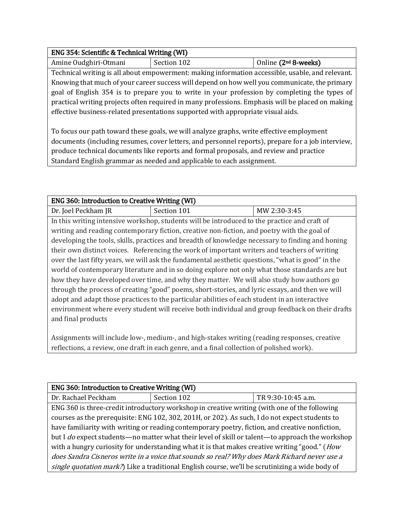### ENG 354: Scientific & Technical Writing (WI)

Amine Oudghiri-Otmani | Section 102 | Online (2<sup>nd</sup> 8-weeks)

Technical writing is all about empowerment: making information accessible, usable, and relevant. Knowing that much of your career success will depend on how well you communicate, the primary goal of English 354 is to prepare you to write in your profession by completing the types of practical writing projects often required in many professions. Emphasis will be placed on making effective business-related presentations supported with appropriate visual aids.

To focus our path toward these goals, we will analyze graphs, write effective employment documents (including resumes, cover letters, and personnel reports), prepare for a job interview, produce technical documents like reports and formal proposals, and review and practice Standard English grammar as needed and applicable to each assignment.

| <b>ENG 360: Introduction to Creative Writing (WI)</b>                                             |                                                                                                  |              |
|---------------------------------------------------------------------------------------------------|--------------------------------------------------------------------------------------------------|--------------|
| Dr. Joel Peckham JR                                                                               | Section 101                                                                                      | MW 2:30-3:45 |
|                                                                                                   | In this writing intensive workshop, students will be introduced to the practice and craft of     |              |
|                                                                                                   | writing and reading contemporary fiction, creative non-fiction, and poetry with the goal of      |              |
|                                                                                                   | developing the tools, skills, practices and breadth of knowledge necessary to finding and honing |              |
|                                                                                                   | their own distinct voices. Referencing the work of important writers and teachers of writing     |              |
| over the last fifty years, we will ask the fundamental aesthetic questions, "what is good" in the |                                                                                                  |              |
| world of contemporary literature and in so doing explore not only what those standards are but    |                                                                                                  |              |
| how they have developed over time, and why they matter. We will also study how authors go         |                                                                                                  |              |
| through the process of creating "good" poems, short-stories, and lyric essays, and then we will   |                                                                                                  |              |
| adopt and adapt those practices to the particular abilities of each student in an interactive     |                                                                                                  |              |
| environment where every student will receive both individual and group feedback on their drafts   |                                                                                                  |              |
| and final products                                                                                |                                                                                                  |              |

Assignments will include low-, medium-, and high-stakes writing (reading responses, creative reflections, a review, one draft in each genre, and a final collection of polished work).

| <b>ENG 360: Introduction to Creative Writing (WI)</b>                                           |                                                                                                |                    |  |
|-------------------------------------------------------------------------------------------------|------------------------------------------------------------------------------------------------|--------------------|--|
| Dr. Rachael Peckham                                                                             | Section 102                                                                                    | TR 9:30-10:45 a.m. |  |
|                                                                                                 | ENG 360 is three-credit introductory workshop in creative writing (with one of the following   |                    |  |
|                                                                                                 | courses as the prerequisite: ENG 102, 302, 201H, or 202). As such, I do not expect students to |                    |  |
| have familiarity with writing or reading contemporary poetry, fiction, and creative nonfiction, |                                                                                                |                    |  |
| but I do expect students—no matter what their level of skill or talent—to approach the workshop |                                                                                                |                    |  |
| with a hungry curiosity for understanding what it is that makes creative writing "good." (How   |                                                                                                |                    |  |
| does Sandra Cisneros write in a voice that sounds so real? Why does Mark Richard never use a    |                                                                                                |                    |  |
| single quotation mark?) Like a traditional English course, we'll be scrutinizing a wide body of |                                                                                                |                    |  |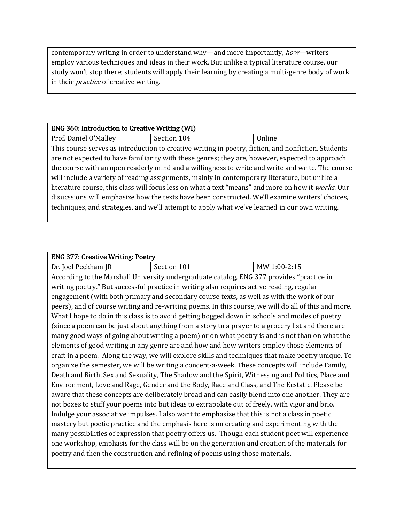contemporary writing in order to understand why—and more importantly, how—writers employ various techniques and ideas in their work. But unlike a typical literature course, our study won't stop there; students will apply their learning by creating a multi-genre body of work in their *practice* of creative writing.

| <b>ENG 360: Introduction to Creative Writing (WI)</b>                                              |                                                                                                     |        |
|----------------------------------------------------------------------------------------------------|-----------------------------------------------------------------------------------------------------|--------|
| Prof. Daniel O'Malley                                                                              | Section 104                                                                                         | Online |
|                                                                                                    | This course serves as introduction to creative writing in poetry, fiction, and nonfiction. Students |        |
|                                                                                                    | are not expected to have familiarity with these genres; they are, however, expected to approach     |        |
| the course with an open readerly mind and a willingness to write and write and write. The course   |                                                                                                     |        |
| will include a variety of reading assignments, mainly in contemporary literature, but unlike a     |                                                                                                     |        |
| literature course, this class will focus less on what a text "means" and more on how it works. Our |                                                                                                     |        |
| disucssions will emphasize how the texts have been constructed. We'll examine writers' choices,    |                                                                                                     |        |
| techniques, and strategies, and we'll attempt to apply what we've learned in our own writing.      |                                                                                                     |        |
|                                                                                                    |                                                                                                     |        |

| <b>ENG 377: Creative Writing: Poetry</b>                                                          |                                                                                                      |              |
|---------------------------------------------------------------------------------------------------|------------------------------------------------------------------------------------------------------|--------------|
| Dr. Joel Peckham JR                                                                               | Section 101                                                                                          | MW 1:00-2:15 |
|                                                                                                   | According to the Marshall University undergraduate catalog, ENG 377 provides "practice in            |              |
|                                                                                                   | writing poetry." But successful practice in writing also requires active reading, regular            |              |
|                                                                                                   | engagement (with both primary and secondary course texts, as well as with the work of our            |              |
|                                                                                                   | peers), and of course writing and re-writing poems. In this course, we will do all of this and more. |              |
|                                                                                                   | What I hope to do in this class is to avoid getting bogged down in schools and modes of poetry       |              |
|                                                                                                   | (since a poem can be just about anything from a story to a prayer to a grocery list and there are    |              |
|                                                                                                   | many good ways of going about writing a poem) or on what poetry is and is not than on what the       |              |
|                                                                                                   | elements of good writing in any genre are and how and how writers employ those elements of           |              |
| craft in a poem. Along the way, we will explore skills and techniques that make poetry unique. To |                                                                                                      |              |
| organize the semester, we will be writing a concept-a-week. These concepts will include Family,   |                                                                                                      |              |
| Death and Birth, Sex and Sexuality, The Shadow and the Spirit, Witnessing and Politics, Place and |                                                                                                      |              |
| Environment, Love and Rage, Gender and the Body, Race and Class, and The Ecstatic. Please be      |                                                                                                      |              |
| aware that these concepts are deliberately broad and can easily blend into one another. They are  |                                                                                                      |              |
| not boxes to stuff your poems into but ideas to extrapolate out of freely, with vigor and brio.   |                                                                                                      |              |
| Indulge your associative impulses. I also want to emphasize that this is not a class in poetic    |                                                                                                      |              |
| mastery but poetic practice and the emphasis here is on creating and experimenting with the       |                                                                                                      |              |
| many possibilities of expression that poetry offers us. Though each student poet will experience  |                                                                                                      |              |
|                                                                                                   | one workshop, emphasis for the class will be on the generation and creation of the materials for     |              |
|                                                                                                   | poetry and then the construction and refining of poems using those materials.                        |              |
|                                                                                                   |                                                                                                      |              |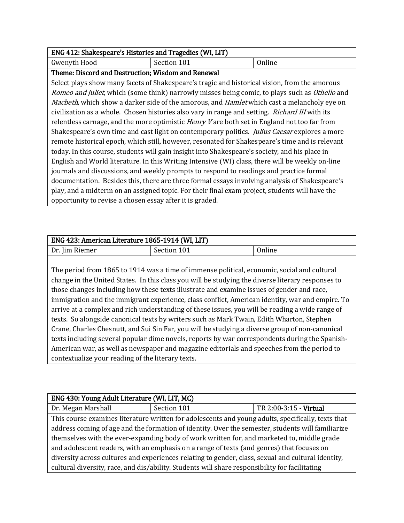| ENG 412: Shakespeare's Histories and Tragedies (WI, LIT)                                              |                                                                                                            |        |
|-------------------------------------------------------------------------------------------------------|------------------------------------------------------------------------------------------------------------|--------|
| Gwenyth Hood                                                                                          | Section 101                                                                                                | Online |
| Theme: Discord and Destruction; Wisdom and Renewal                                                    |                                                                                                            |        |
|                                                                                                       | Select plays show many facets of Shakespeare's tragic and historical vision, from the amorous              |        |
|                                                                                                       | Romeo and Juliet, which (some think) narrowly misses being comic, to plays such as Othello and             |        |
|                                                                                                       | <i>Macbeth</i> , which show a darker side of the amorous, and <i>Hamlet</i> which cast a melancholy eye on |        |
| civilization as a whole. Chosen histories also vary in range and setting. <i>Richard III</i> with its |                                                                                                            |        |
| relentless carnage, and the more optimistic <i>Henry V</i> are both set in England not too far from   |                                                                                                            |        |
| Shakespeare's own time and cast light on contemporary politics. <i>Julius Caesar</i> explores a more  |                                                                                                            |        |
| remote historical epoch, which still, however, resonated for Shakespeare's time and is relevant       |                                                                                                            |        |
| today. In this course, students will gain insight into Shakespeare's society, and his place in        |                                                                                                            |        |
| English and World literature. In this Writing Intensive (WI) class, there will be weekly on-line      |                                                                                                            |        |
| journals and discussions, and weekly prompts to respond to readings and practice formal               |                                                                                                            |        |
| documentation. Besides this, there are three formal essays involving analysis of Shakespeare's        |                                                                                                            |        |
| play, and a midterm on an assigned topic. For their final exam project, students will have the        |                                                                                                            |        |
| opportunity to revise a chosen essay after it is graded.                                              |                                                                                                            |        |

| ENG 423: American Literature 1865-1914 (WI, LIT) |             |  |
|--------------------------------------------------|-------------|--|
| Dr. Jim Riemer                                   | Section 101 |  |
|                                                  |             |  |

The period from 1865 to 1914 was a time of immense political, economic, social and cultural change in the United States. In this class you will be studying the diverse literary responses to those changes including how these texts illustrate and examine issues of gender and race, immigration and the immigrant experience, class conflict, American identity, war and empire. To arrive at a complex and rich understanding of these issues, you will be reading a wide range of texts. So alongside canonical texts by writers such as Mark Twain, Edith Wharton, Stephen Crane, Charles Chesnutt, and Sui Sin Far, you will be studying a diverse group of non-canonical texts including several popular dime novels, reports by war correspondents during the Spanish-American war, as well as newspaper and magazine editorials and speeches from the period to contextualize your reading of the literary texts.

| ENG 430: Young Adult Literature (WI, LIT, MC)                                                      |                                                                                                    |                        |  |
|----------------------------------------------------------------------------------------------------|----------------------------------------------------------------------------------------------------|------------------------|--|
| Dr. Megan Marshall                                                                                 | Section 101                                                                                        | TR 2:00-3:15 - Virtual |  |
|                                                                                                    | This course examines literature written for adolescents and young adults, specifically, texts that |                        |  |
| address coming of age and the formation of identity. Over the semester, students will familiarize  |                                                                                                    |                        |  |
| themselves with the ever-expanding body of work written for, and marketed to, middle grade         |                                                                                                    |                        |  |
| and adolescent readers, with an emphasis on a range of texts (and genres) that focuses on          |                                                                                                    |                        |  |
| diversity across cultures and experiences relating to gender, class, sexual and cultural identity, |                                                                                                    |                        |  |
| cultural diversity, race, and dis/ability. Students will share responsibility for facilitating     |                                                                                                    |                        |  |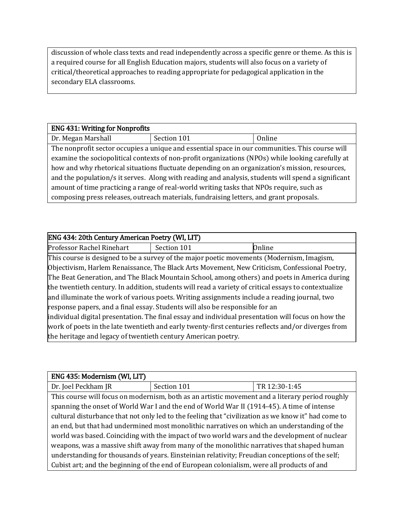discussion of whole class texts and read independently across a specific genre or theme. As this is a required course for all English Education majors, students will also focus on a variety of critical/theoretical approaches to reading appropriate for pedagogical application in the secondary ELA classrooms.

| <b>ENG 431: Writing for Nonprofits</b>                                                             |                                                                                                 |        |
|----------------------------------------------------------------------------------------------------|-------------------------------------------------------------------------------------------------|--------|
| Dr. Megan Marshall                                                                                 | Section 101                                                                                     | Online |
|                                                                                                    | The nonprofit sector occupies a unique and essential space in our communities. This course will |        |
| examine the sociopolitical contexts of non-profit organizations (NPOs) while looking carefully at  |                                                                                                 |        |
| how and why rhetorical situations fluctuate depending on an organization's mission, resources,     |                                                                                                 |        |
| and the population/s it serves. Along with reading and analysis, students will spend a significant |                                                                                                 |        |
| amount of time practicing a range of real-world writing tasks that NPOs require, such as           |                                                                                                 |        |
| composing press releases, outreach materials, fundraising letters, and grant proposals.            |                                                                                                 |        |

| ENG 434: 20th Century American Poetry (WI, LIT)                                                      |             |        |
|------------------------------------------------------------------------------------------------------|-------------|--------|
| Professor Rachel Rinehart                                                                            | Section 101 | Online |
| This course is designed to be a survey of the major poetic movements (Modernism, Imagism,            |             |        |
| Objectivism, Harlem Renaissance, The Black Arts Movement, New Criticism, Confessional Poetry,        |             |        |
| The Beat Generation, and The Black Mountain School, among others) and poets in America during        |             |        |
| the twentieth century. In addition, students will read a variety of critical essays to contextualize |             |        |
| and illuminate the work of various poets. Writing assignments include a reading journal, two         |             |        |
| response papers, and a final essay. Students will also be responsible for an                         |             |        |
| individual digital presentation. The final essay and individual presentation will focus on how the   |             |        |
| work of poets in the late twentieth and early twenty-first centuries reflects and/or diverges from   |             |        |
| the heritage and legacy of twentieth century American poetry.                                        |             |        |

| ENG 435: Modernism (WI, LIT)                                                                        |                                                                                                 |               |
|-----------------------------------------------------------------------------------------------------|-------------------------------------------------------------------------------------------------|---------------|
| Dr. Joel Peckham JR                                                                                 | Section 101                                                                                     | TR 12:30-1:45 |
|                                                                                                     | This course will focus on modernism, both as an artistic movement and a literary period roughly |               |
| spanning the onset of World War I and the end of World War II (1914-45). A time of intense          |                                                                                                 |               |
| cultural disturbance that not only led to the feeling that "civilization as we know it" had come to |                                                                                                 |               |
| an end, but that had undermined most monolithic narratives on which an understanding of the         |                                                                                                 |               |
| world was based. Coinciding with the impact of two world wars and the development of nuclear        |                                                                                                 |               |
| weapons, was a massive shift away from many of the monolithic narratives that shaped human          |                                                                                                 |               |
| understanding for thousands of years. Einsteinian relativity; Freudian conceptions of the self;     |                                                                                                 |               |
| Cubist art; and the beginning of the end of European colonialism, were all products of and          |                                                                                                 |               |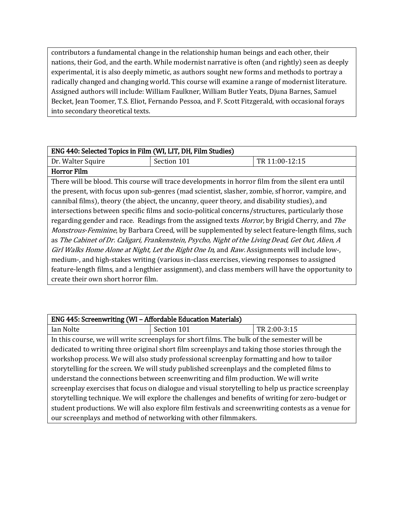contributors a fundamental change in the relationship human beings and each other, their nations, their God, and the earth. While modernist narrative is often (and rightly) seen as deeply experimental, it is also deeply mimetic, as authors sought new forms and methods to portray a radically changed and changing world. This course will examine a range of modernist literature. Assigned authors will include: William Faulkner, William Butler Yeats, Djuna Barnes, Samuel Becket, Jean Toomer, T.S. Eliot, Fernando Pessoa, and F. Scott Fitzgerald, with occasional forays into secondary theoretical texts.

| ENG 440: Selected Topics in Film (WI, LIT, DH, Film Studies)                                                 |                                                                                                   |                |
|--------------------------------------------------------------------------------------------------------------|---------------------------------------------------------------------------------------------------|----------------|
| Dr. Walter Squire                                                                                            | Section 101                                                                                       | TR 11:00-12:15 |
| <b>Horror Film</b>                                                                                           |                                                                                                   |                |
|                                                                                                              | There will be blood. This course will trace developments in horror film from the silent era until |                |
| the present, with focus upon sub-genres (mad scientist, slasher, zombie, sf horror, vampire, and             |                                                                                                   |                |
| cannibal films), theory (the abject, the uncanny, queer theory, and disability studies), and                 |                                                                                                   |                |
| intersections between specific films and socio-political concerns/structures, particularly those             |                                                                                                   |                |
| regarding gender and race. Readings from the assigned texts <i>Horror</i> , by Brigid Cherry, and <i>The</i> |                                                                                                   |                |
| <i>Monstrous-Feminine</i> , by Barbara Creed, will be supplemented by select feature-length films, such      |                                                                                                   |                |
| as The Cabinet of Dr. Caligari, Frankenstein, Psycho, Night of the Living Dead, Get Out, Alien, A            |                                                                                                   |                |
| Girl Walks Home Alone at Night, Let the Right One In, and Raw. Assignments will include low-,                |                                                                                                   |                |
|                                                                                                              | medium-, and high-stakes writing (various in-class exercises, viewing responses to assigned       |                |
|                                                                                                              | feature-length films, and a lengthier assignment), and class members will have the opportunity to |                |
| create their own short horror film.                                                                          |                                                                                                   |                |

| ENG 445: Screenwriting (WI - Affordable Education Materials)                                       |                                                                                                    |              |
|----------------------------------------------------------------------------------------------------|----------------------------------------------------------------------------------------------------|--------------|
| Ian Nolte                                                                                          | Section 101                                                                                        | TR 2:00-3:15 |
|                                                                                                    | In this course, we will write screenplays for short films. The bulk of the semester will be        |              |
| dedicated to writing three original short film screenplays and taking those stories through the    |                                                                                                    |              |
| workshop process. We will also study professional screenplay formatting and how to tailor          |                                                                                                    |              |
| storytelling for the screen. We will study published screenplays and the completed films to        |                                                                                                    |              |
| understand the connections between screenwriting and film production. We will write                |                                                                                                    |              |
| screenplay exercises that focus on dialogue and visual storytelling to help us practice screenplay |                                                                                                    |              |
| storytelling technique. We will explore the challenges and benefits of writing for zero-budget or  |                                                                                                    |              |
|                                                                                                    | student productions. We will also explore film festivals and screenwriting contests as a venue for |              |
| our screenplays and method of networking with other filmmakers.                                    |                                                                                                    |              |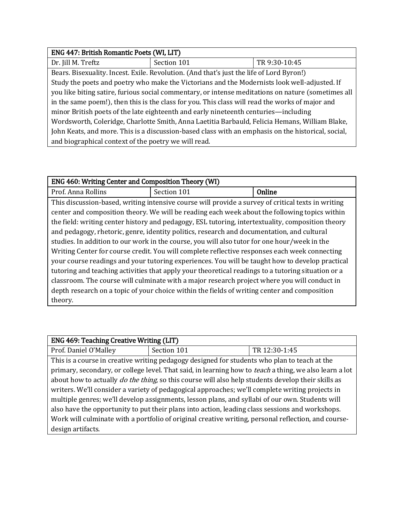| ENG 447: British Romantic Poets (WI, LIT)                                                          |             |               |
|----------------------------------------------------------------------------------------------------|-------------|---------------|
| Dr. Jill M. Treftz                                                                                 | Section 101 | TR 9:30-10:45 |
| Bears. Bisexuality. Incest. Exile. Revolution. (And that's just the life of Lord Byron!)           |             |               |
| Study the poets and poetry who make the Victorians and the Modernists look well-adjusted. If       |             |               |
| you like biting satire, furious social commentary, or intense meditations on nature (sometimes all |             |               |
| in the same poem!), then this is the class for you. This class will read the works of major and    |             |               |
| minor British poets of the late eighteenth and early nineteenth centuries—including                |             |               |
| Wordsworth, Coleridge, Charlotte Smith, Anna Laetitia Barbauld, Felicia Hemans, William Blake,     |             |               |
| John Keats, and more. This is a discussion-based class with an emphasis on the historical, social, |             |               |
| and biographical context of the poetry we will read.                                               |             |               |

| ENG 460: Writing Center and Composition Theory (WI)                                                |                                                                                                    |        |
|----------------------------------------------------------------------------------------------------|----------------------------------------------------------------------------------------------------|--------|
| Prof. Anna Rollins                                                                                 | Section 101                                                                                        | Online |
|                                                                                                    | This discussion-based, writing intensive course will provide a survey of critical texts in writing |        |
|                                                                                                    | center and composition theory. We will be reading each week about the following topics within      |        |
| the field: writing center history and pedagogy, ESL tutoring, intertextuality, composition theory  |                                                                                                    |        |
| and pedagogy, rhetoric, genre, identity politics, research and documentation, and cultural         |                                                                                                    |        |
| studies. In addition to our work in the course, you will also tutor for one hour/week in the       |                                                                                                    |        |
| Writing Center for course credit. You will complete reflective responses each week connecting      |                                                                                                    |        |
| your course readings and your tutoring experiences. You will be taught how to develop practical    |                                                                                                    |        |
| tutoring and teaching activities that apply your theoretical readings to a tutoring situation or a |                                                                                                    |        |
|                                                                                                    | classroom. The course will culminate with a major research project where you will conduct in       |        |
|                                                                                                    | depth research on a topic of your choice within the fields of writing center and composition       |        |
| theory.                                                                                            |                                                                                                    |        |

| <b>ENG 469: Teaching Creative Writing (LIT)</b>                                                               |                                                                                              |               |
|---------------------------------------------------------------------------------------------------------------|----------------------------------------------------------------------------------------------|---------------|
| Prof. Daniel O'Malley                                                                                         | Section 101                                                                                  | TR 12:30-1:45 |
|                                                                                                               | This is a course in creative writing pedagogy designed for students who plan to teach at the |               |
| primary, secondary, or college level. That said, in learning how to <i>teach</i> a thing, we also learn a lot |                                                                                              |               |
| about how to actually <i>do the thing</i> , so this course will also help students develop their skills as    |                                                                                              |               |
| writers. We'll consider a variety of pedagogical approaches; we'll complete writing projects in               |                                                                                              |               |
| multiple genres; we'll develop assignments, lesson plans, and syllabi of our own. Students will               |                                                                                              |               |
| also have the opportunity to put their plans into action, leading class sessions and workshops.               |                                                                                              |               |
| Work will culminate with a portfolio of original creative writing, personal reflection, and course-           |                                                                                              |               |
| design artifacts.                                                                                             |                                                                                              |               |